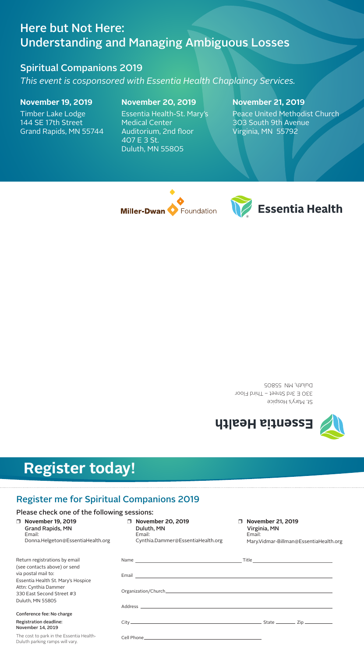St. Mary's Hospice 330 E 3rd Street – Third Floor Duluth, MN 55805





## Here but Not Here: Understanding and Managing Ambiguous Losses

Spiritual Companions 2019

*This event is cosponsored with Essentia Health Chaplaincy Services.* 

**November 19, 2019**

Timber Lake Lodge 144 SE 17th Street Grand Rapids, MN 55744

## **November 20, 2019**

Essentia Health-St. Mary's Medical Center Auditorium, 2nd floor 407 E 3 St. Duluth, MN 55805

## **November 21, 2019**

Peace United Methodist Church 303 South 9th Avenue Virginia, MN 55792

| Return registrations by email      |
|------------------------------------|
| (see contacts above) or send       |
| via postal mail to:                |
| Essentia Health St. Mary's Hospice |
| Attn: Cynthia Dammer               |
| 330 East Second Street #3          |
| Duluth, MN 55805                   |

#### $\Box$  November 21, 2019 Virginia, MN Email: Mary.Vidmar-Billman@EssentiaHealth.org

#### Conference fee: No charge

#### Registration deadline: November 14, 2019

The cost to park in the Essentia Health-Duluth parking ramps will vary.

|                                                                                                                          | $\begin{tabular}{c} Title \end{tabular}$ Title |  |
|--------------------------------------------------------------------------------------------------------------------------|------------------------------------------------|--|
|                                                                                                                          |                                                |  |
|                                                                                                                          |                                                |  |
|                                                                                                                          |                                                |  |
|                                                                                                                          |                                                |  |
| Cell Phone <u>Communication</u> Cell Phone Communication Cell Phone Communication Communication Cell Phone Communication |                                                |  |

## Register me for Spiritual Companions 2019

### Please check one of the following sessions:

#### r **November 19, 2019** Grand Rapids, MN Email: Donna.Helgeton@EssentiaHealth.org

| $\Box$ | <b>November 20, 2019</b>          |  |  |
|--------|-----------------------------------|--|--|
|        | Duluth, MN                        |  |  |
|        | Email:                            |  |  |
|        | Cynthia.Dammer@EssentiaHealth.org |  |  |

# **Register today!**